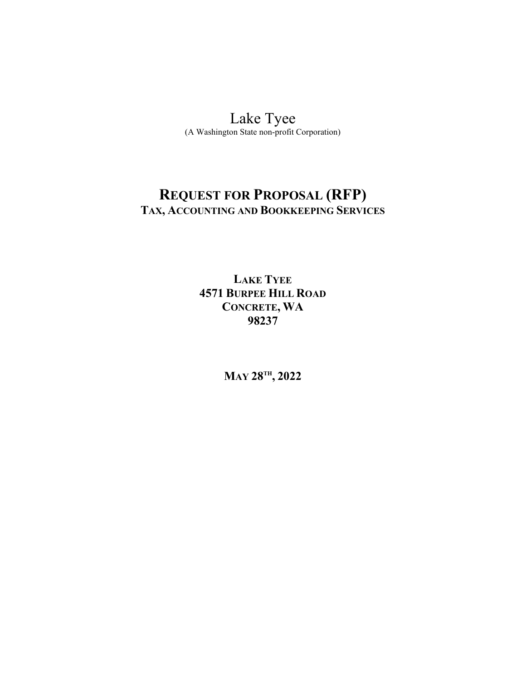# [Lake](http://www.120society.com/) Tyee

(A Washington State non-profit Corporation)

# **REQUEST FOR PROPOSAL (RFP) TAX, ACCOUNTING AND BOOKKEEPING SERVICES**

# **LAKE TYEE 4571 BURPEE HILL ROAD CONCRETE, WA 98237**

**MAY 28TH , 2022**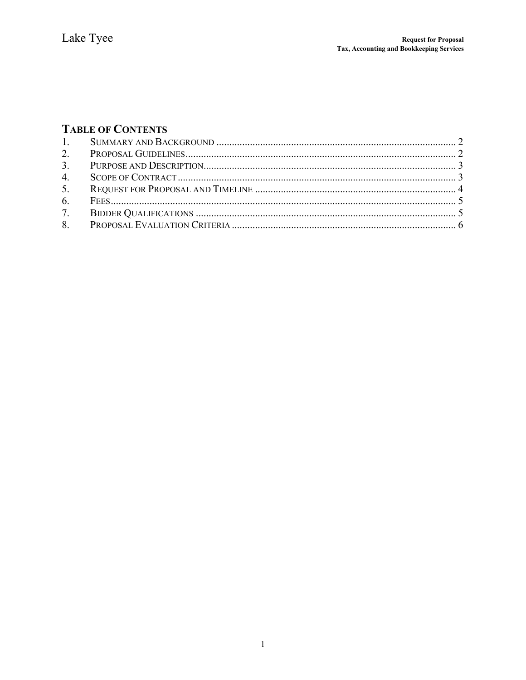# **TABLE OF CONTENTS**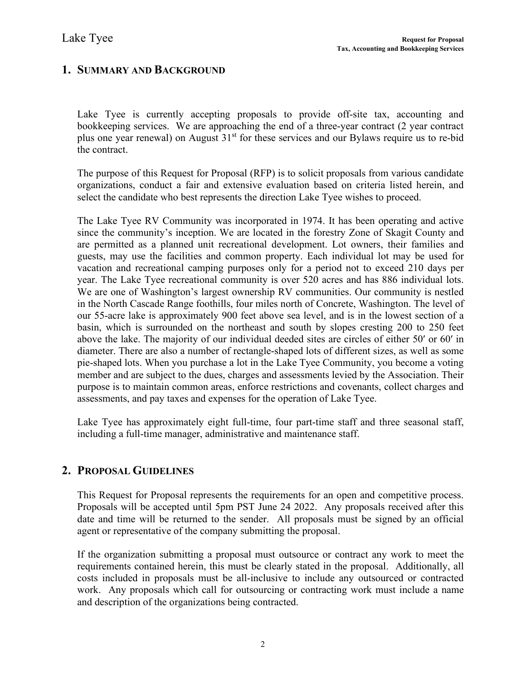# <span id="page-2-0"></span>**1. SUMMARY AND BACKGROUND**

Lake Tyee is currently accepting proposals to provide off-site tax, accounting and bookkeeping services. We are approaching the end of a three-year contract (2 year contract plus one year renewal) on August  $31<sup>st</sup>$  for these services and our Bylaws require us to re-bid the contract.

The purpose of this Request for Proposal (RFP) is to solicit proposals from various candidate organizations, conduct a fair and extensive evaluation based on criteria listed herein, and select the candidate who best represents the direction Lake Tyee wishes to proceed.

The Lake Tyee RV Community was incorporated in 1974. It has been operating and active since the community's inception. We are located in the forestry Zone of Skagit County and are permitted as a planned unit recreational development. Lot owners, their families and guests, may use the facilities and common property. Each individual lot may be used for vacation and recreational camping purposes only for a period not to exceed 210 days per year. The Lake Tyee recreational community is over 520 acres and has 886 individual lots. We are one of Washington's largest ownership RV communities. Our community is nestled in the North Cascade Range foothills, four miles north of Concrete, Washington. The level of our 55-acre lake is approximately 900 feet above sea level, and is in the lowest section of a basin, which is surrounded on the northeast and south by slopes cresting 200 to 250 feet above the lake. The majority of our individual deeded sites are circles of either 50′ or 60′ in diameter. There are also a number of rectangle-shaped lots of different sizes, as well as some pie-shaped lots. When you purchase a lot in the Lake Tyee Community, you become a voting member and are subject to the dues, charges and assessments levied by the Association. Their purpose is to maintain common areas, enforce restrictions and covenants, collect charges and assessments, and pay taxes and expenses for the operation of Lake Tyee.

Lake Tyee has approximately eight full-time, four part-time staff and three seasonal staff, including a full-time manager, administrative and maintenance staff.

# <span id="page-2-1"></span>**2. PROPOSAL GUIDELINES**

This Request for Proposal represents the requirements for an open and competitive process. Proposals will be accepted until 5pm PST June 24 2022. Any proposals received after this date and time will be returned to the sender. All proposals must be signed by an official agent or representative of the company submitting the proposal.

If the organization submitting a proposal must outsource or contract any work to meet the requirements contained herein, this must be clearly stated in the proposal. Additionally, all costs included in proposals must be all-inclusive to include any outsourced or contracted work. Any proposals which call for outsourcing or contracting work must include a name and description of the organizations being contracted.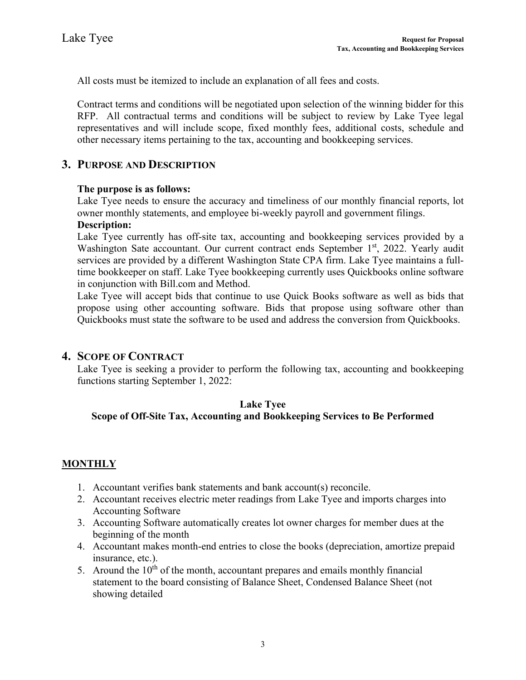All costs must be itemized to include an explanation of all fees and costs.

Contract terms and conditions will be negotiated upon selection of the winning bidder for this RFP. All contractual terms and conditions will be subject to review by Lake Tyee legal representatives and will include scope, fixed monthly fees, additional costs, schedule and other necessary items pertaining to the tax, accounting and bookkeeping services.

## <span id="page-3-0"></span>**3. PURPOSE AND DESCRIPTION**

### **The purpose is as follows:**

Lake Tyee needs to ensure the accuracy and timeliness of our monthly financial reports, lot owner monthly statements, and employee bi-weekly payroll and government filings.

#### **Description:**

Lake Tyee currently has off-site tax, accounting and bookkeeping services provided by a Washington Sate accountant. Our current contract ends September 1<sup>st</sup>, 2022. Yearly audit services are provided by a different Washington State CPA firm. Lake Tyee maintains a fulltime bookkeeper on staff. Lake Tyee bookkeeping currently uses Quickbooks online software in conjunction with Bill.com and Method.

Lake Tyee will accept bids that continue to use Quick Books software as well as bids that propose using other accounting software. Bids that propose using software other than Quickbooks must state the software to be used and address the conversion from Quickbooks.

## <span id="page-3-1"></span>**4. SCOPE OF CONTRACT**

Lake Tyee is seeking a provider to perform the following tax, accounting and bookkeeping functions starting September 1, 2022:

### **Lake Tyee**

## **Scope of Off-Site Tax, Accounting and Bookkeeping Services to Be Performed**

### **MONTHLY**

- 1. Accountant verifies bank statements and bank account(s) reconcile.
- 2. Accountant receives electric meter readings from Lake Tyee and imports charges into Accounting Software
- 3. Accounting Software automatically creates lot owner charges for member dues at the beginning of the month
- 4. Accountant makes month-end entries to close the books (depreciation, amortize prepaid insurance, etc.).
- 5. Around the  $10<sup>th</sup>$  of the month, accountant prepares and emails monthly financial statement to the board consisting of Balance Sheet, Condensed Balance Sheet (not showing detailed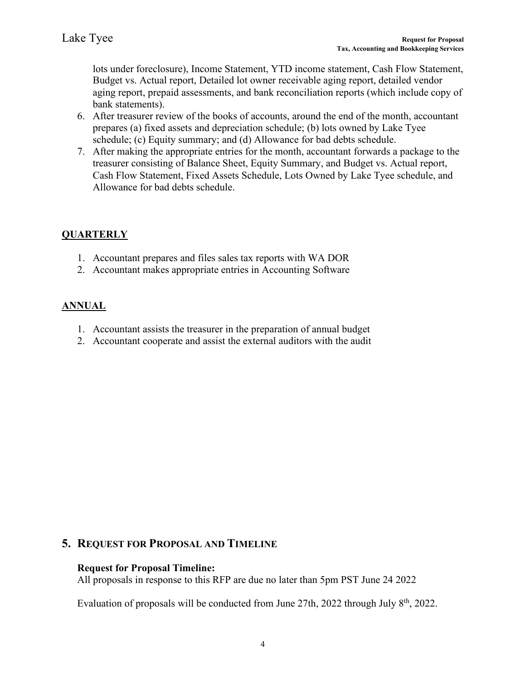lots under foreclosure), Income Statement, YTD income statement, Cash Flow Statement, Budget vs. Actual report, Detailed lot owner receivable aging report, detailed vendor aging report, prepaid assessments, and bank reconciliation reports (which include copy of bank statements).

- 6. After treasurer review of the books of accounts, around the end of the month, accountant prepares (a) fixed assets and depreciation schedule; (b) lots owned by Lake Tyee schedule; (c) Equity summary; and (d) Allowance for bad debts schedule.
- 7. After making the appropriate entries for the month, accountant forwards a package to the treasurer consisting of Balance Sheet, Equity Summary, and Budget vs. Actual report, Cash Flow Statement, Fixed Assets Schedule, Lots Owned by Lake Tyee schedule, and Allowance for bad debts schedule.

# **QUARTERLY**

- 1. Accountant prepares and files sales tax reports with WA DOR
- 2. Accountant makes appropriate entries in Accounting Software

## **ANNUAL**

- 1. Accountant assists the treasurer in the preparation of annual budget
- 2. Accountant cooperate and assist the external auditors with the audit

## <span id="page-4-0"></span>**5. REQUEST FOR PROPOSAL AND TIMELINE**

### **Request for Proposal Timeline:**

All proposals in response to this RFP are due no later than 5pm PST June 24 2022

Evaluation of proposals will be conducted from June 27th, 2022 through July 8<sup>th</sup>, 2022.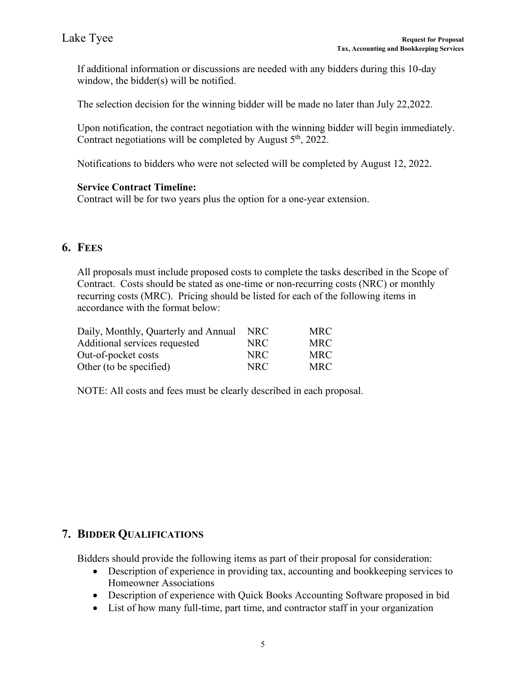If additional information or discussions are needed with any bidders during this 10-day window, the bidder(s) will be notified.

The selection decision for the winning bidder will be made no later than July 22,2022.

Upon notification, the contract negotiation with the winning bidder will begin immediately. Contract negotiations will be completed by August  $5<sup>th</sup>$ , 2022.

Notifications to bidders who were not selected will be completed by August 12, 2022.

### **Service Contract Timeline:**

Contract will be for two years plus the option for a one-year extension.

# <span id="page-5-0"></span>**6. FEES**

All proposals must include proposed costs to complete the tasks described in the Scope of Contract. Costs should be stated as one-time or non-recurring costs (NRC) or monthly recurring costs (MRC). Pricing should be listed for each of the following items in accordance with the format below:

| Daily, Monthly, Quarterly and Annual | NRC  | <b>MRC</b> |
|--------------------------------------|------|------------|
| Additional services requested        | NRC. | <b>MRC</b> |
| Out-of-pocket costs                  | NRC. | <b>MRC</b> |
| Other (to be specified)              | NRC. | <b>MRC</b> |

NOTE: All costs and fees must be clearly described in each proposal.

## <span id="page-5-1"></span>**7. BIDDER QUALIFICATIONS**

Bidders should provide the following items as part of their proposal for consideration:

- Description of experience in providing tax, accounting and bookkeeping services to Homeowner Associations
- Description of experience with Quick Books Accounting Software proposed in bid
- List of how many full-time, part time, and contractor staff in your organization